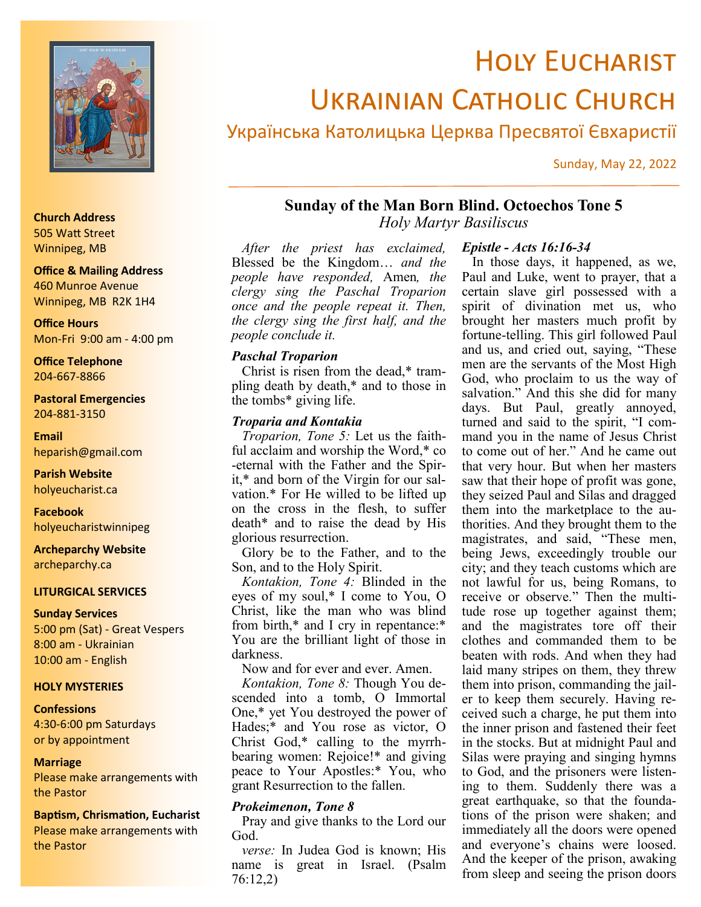

# **HOLY EUCHARIST** Ukrainian Catholic Church

# Українська Католицька Церква Пресвятої Євхаристії

Sunday, May 22, 2022

# **Sunday of the Man Born Blind. Octoechos Tone 5**

*Holy Martyr Basiliscus*

*After the priest has exclaimed,*  Blessed be the Kingdom… *and the people have responded,* Amen*, the clergy sing the Paschal Troparion once and the people repeat it. Then, the clergy sing the first half, and the people conclude it.*

#### *Paschal Troparion*

Christ is risen from the dead,\* trampling death by death,\* and to those in the tombs\* giving life.

#### *Troparia and Kontakia*

*Troparion, Tone 5:* Let us the faithful acclaim and worship the Word,\* co -eternal with the Father and the Spirit,\* and born of the Virgin for our salvation.\* For He willed to be lifted up on the cross in the flesh, to suffer death\* and to raise the dead by His glorious resurrection.

Glory be to the Father, and to the Son, and to the Holy Spirit.

*Kontakion, Tone 4:* Blinded in the eyes of my soul,\* I come to You, O Christ, like the man who was blind from birth,\* and I cry in repentance:\* You are the brilliant light of those in darkness.

Now and for ever and ever. Amen.

*Kontakion, Tone 8:* Though You descended into a tomb, O Immortal One,\* yet You destroyed the power of Hades;\* and You rose as victor, O Christ God,\* calling to the myrrhbearing women: Rejoice!\* and giving peace to Your Apostles:\* You, who grant Resurrection to the fallen.

#### *Prokeimenon, Tone 8*

Pray and give thanks to the Lord our God.

*verse:* In Judea God is known; His name is great in Israel. (Psalm 76:12,2)

#### *Epistle - Acts 16:16-34*

In those days, it happened, as we, Paul and Luke, went to prayer, that a certain slave girl possessed with a spirit of divination met us, who brought her masters much profit by fortune-telling. This girl followed Paul and us, and cried out, saying, "These men are the servants of the Most High God, who proclaim to us the way of salvation." And this she did for many days. But Paul, greatly annoyed, turned and said to the spirit, "I command you in the name of Jesus Christ to come out of her." And he came out that very hour. But when her masters saw that their hope of profit was gone, they seized Paul and Silas and dragged them into the marketplace to the authorities. And they brought them to the magistrates, and said, "These men, being Jews, exceedingly trouble our city; and they teach customs which are not lawful for us, being Romans, to receive or observe." Then the multitude rose up together against them; and the magistrates tore off their clothes and commanded them to be beaten with rods. And when they had laid many stripes on them, they threw them into prison, commanding the jailer to keep them securely. Having received such a charge, he put them into the inner prison and fastened their feet in the stocks. But at midnight Paul and Silas were praying and singing hymns to God, and the prisoners were listening to them. Suddenly there was a great earthquake, so that the foundations of the prison were shaken; and immediately all the doors were opened and everyone's chains were loosed. And the keeper of the prison, awaking from sleep and seeing the prison doors

#### **Church Address** 505 Watt Street Winnipeg, MB

# **Office & Mailing Address** 460 Munroe Avenue

Winnipeg, MB R2K 1H4

**Office Hours** Mon-Fri 9:00 am - 4:00 pm

**Office Telephone** 204-667-8866

**Pastoral Emergencies** 204-881-3150

**Email** heparish@gmail.com

**Parish Website** holyeucharist.ca

**Facebook** holyeucharistwinnipeg

**Archeparchy Website** archeparchy.ca

#### **LITURGICAL SERVICES**

#### **Sunday Services**

5:00 pm (Sat) - Great Vespers 8:00 am - Ukrainian 10:00 am - English

#### **HOLY MYSTERIES**

#### **Confessions**

4:30-6:00 pm Saturdays or by appointment

#### **Marriage**

Please make arrangements with the Pastor

#### **Baptism, Chrismation, Eucharist**

Please make arrangements with the Pastor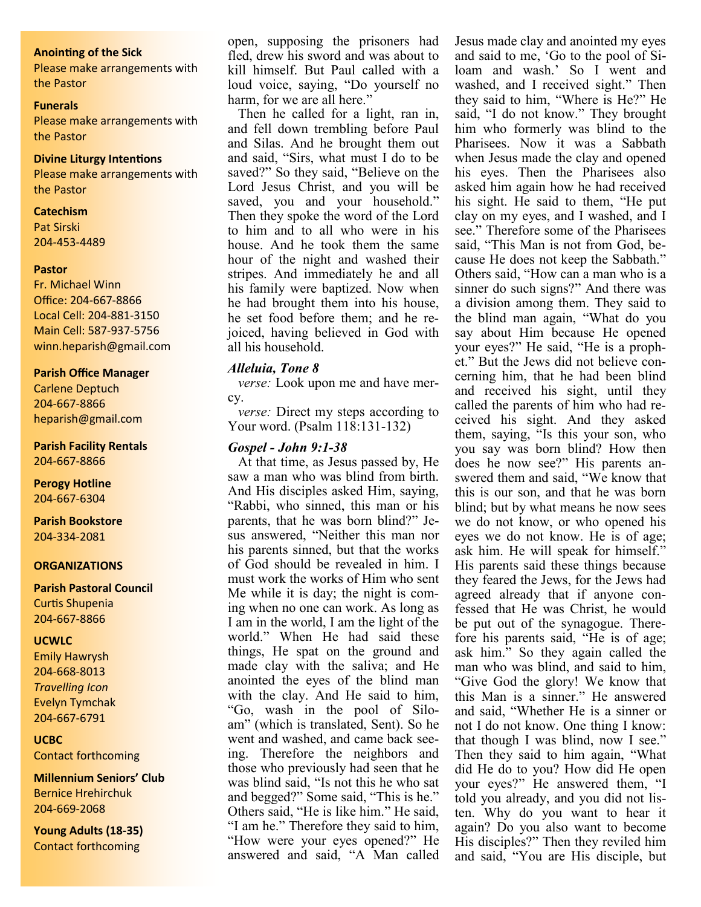#### **Anointing of the Sick**

Please make arrangements with the Pastor

#### **Funerals**

Please make arrangements with the Pastor

#### **Divine Liturgy Intentions**

Please make arrangements with the Pastor

#### **Catechism**

Pat Sirski 204-453-4489

#### **Pastor**

Fr. Michael Winn Office: 204-667-8866 Local Cell: 204-881-3150 Main Cell: 587-937-5756 winn.heparish@gmail.com

#### **Parish Office Manager**

Carlene Deptuch 204-667-8866 heparish@gmail.com

#### **Parish Facility Rentals**

204-667-8866

**Perogy Hotline** 204-667-6304

**Parish Bookstore** 204-334-2081

#### **ORGANIZATIONS**

#### **Parish Pastoral Council** Curtis Shupenia

204-667-8866

#### **UCWLC**

Emily Hawrysh 204-668-8013 *Travelling Icon* Evelyn Tymchak 204-667-6791

#### **UCBC**

Contact forthcoming

**Millennium Seniors' Club** Bernice Hrehirchuk 204-669-2068

**Young Adults (18-35)** Contact forthcoming

open, supposing the prisoners had fled, drew his sword and was about to kill himself. But Paul called with a loud voice, saying, "Do yourself no harm, for we are all here."

Then he called for a light, ran in, and fell down trembling before Paul and Silas. And he brought them out and said, "Sirs, what must I do to be saved?" So they said, "Believe on the Lord Jesus Christ, and you will be saved, you and your household." Then they spoke the word of the Lord to him and to all who were in his house. And he took them the same hour of the night and washed their stripes. And immediately he and all his family were baptized. Now when he had brought them into his house, he set food before them; and he rejoiced, having believed in God with all his household.

#### *Alleluia, Tone 8*

*verse:* Look upon me and have mercy.

*verse:* Direct my steps according to Your word. (Psalm 118:131-132)

#### *Gospel - John 9:1-38*

At that time, as Jesus passed by, He saw a man who was blind from birth. And His disciples asked Him, saying, "Rabbi, who sinned, this man or his parents, that he was born blind?" Jesus answered, "Neither this man nor his parents sinned, but that the works of God should be revealed in him. I must work the works of Him who sent Me while it is day; the night is coming when no one can work. As long as I am in the world, I am the light of the world." When He had said these things, He spat on the ground and made clay with the saliva; and He anointed the eyes of the blind man with the clay. And He said to him, "Go, wash in the pool of Siloam" (which is translated, Sent). So he went and washed, and came back seeing. Therefore the neighbors and those who previously had seen that he was blind said, "Is not this he who sat and begged?" Some said, "This is he." Others said, "He is like him." He said, "I am he." Therefore they said to him, "How were your eyes opened?" He answered and said, "A Man called

Jesus made clay and anointed my eyes and said to me, 'Go to the pool of Siloam and wash.' So I went and washed, and I received sight." Then they said to him, "Where is He?" He said, "I do not know." They brought him who formerly was blind to the Pharisees. Now it was a Sabbath when Jesus made the clay and opened his eyes. Then the Pharisees also asked him again how he had received his sight. He said to them, "He put clay on my eyes, and I washed, and I see." Therefore some of the Pharisees said, "This Man is not from God, because He does not keep the Sabbath." Others said, "How can a man who is a sinner do such signs?" And there was a division among them. They said to the blind man again, "What do you say about Him because He opened your eyes?" He said, "He is a prophet." But the Jews did not believe concerning him, that he had been blind and received his sight, until they called the parents of him who had received his sight. And they asked them, saying, "Is this your son, who you say was born blind? How then does he now see?" His parents answered them and said, "We know that this is our son, and that he was born blind; but by what means he now sees we do not know, or who opened his eyes we do not know. He is of age; ask him. He will speak for himself." His parents said these things because they feared the Jews, for the Jews had agreed already that if anyone confessed that He was Christ, he would be put out of the synagogue. Therefore his parents said, "He is of age; ask him." So they again called the man who was blind, and said to him, "Give God the glory! We know that this Man is a sinner." He answered and said, "Whether He is a sinner or not I do not know. One thing I know: that though I was blind, now I see." Then they said to him again, "What did He do to you? How did He open your eyes?" He answered them, "I told you already, and you did not listen. Why do you want to hear it again? Do you also want to become His disciples?" Then they reviled him and said, "You are His disciple, but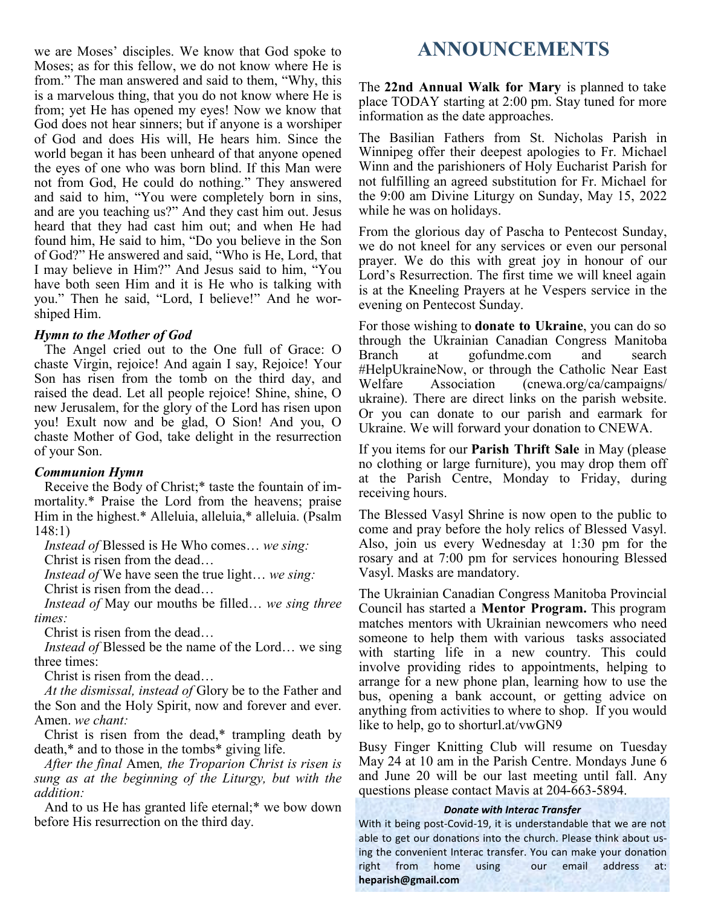we are Moses' disciples. We know that God spoke to Moses; as for this fellow, we do not know where He is from." The man answered and said to them, "Why, this is a marvelous thing, that you do not know where He is from; yet He has opened my eyes! Now we know that God does not hear sinners; but if anyone is a worshiper of God and does His will, He hears him. Since the world began it has been unheard of that anyone opened the eyes of one who was born blind. If this Man were not from God, He could do nothing." They answered and said to him, "You were completely born in sins, and are you teaching us?" And they cast him out. Jesus heard that they had cast him out; and when He had found him, He said to him, "Do you believe in the Son of God?" He answered and said, "Who is He, Lord, that I may believe in Him?" And Jesus said to him, "You have both seen Him and it is He who is talking with you." Then he said, "Lord, I believe!" And he worshiped Him.

### *Hymn to the Mother of God*

The Angel cried out to the One full of Grace: O chaste Virgin, rejoice! And again I say, Rejoice! Your Son has risen from the tomb on the third day, and raised the dead. Let all people rejoice! Shine, shine, O new Jerusalem, for the glory of the Lord has risen upon you! Exult now and be glad, O Sion! And you, O chaste Mother of God, take delight in the resurrection of your Son.

#### *Communion Hymn*

Receive the Body of Christ;\* taste the fountain of immortality.\* Praise the Lord from the heavens; praise Him in the highest.\* Alleluia, alleluia,\* alleluia. (Psalm 148:1)

*Instead of* Blessed is He Who comes… *we sing:*

Christ is risen from the dead…

*Instead of* We have seen the true light… *we sing:*

Christ is risen from the dead…

*Instead of* May our mouths be filled… *we sing three times:*

Christ is risen from the dead…

*Instead of* Blessed be the name of the Lord… we sing three times:

Christ is risen from the dead…

*At the dismissal, instead of* Glory be to the Father and the Son and the Holy Spirit, now and forever and ever. Amen. *we chant:*

Christ is risen from the dead,\* trampling death by death,\* and to those in the tombs\* giving life.

*After the final* Amen*, the Troparion Christ is risen is sung as at the beginning of the Liturgy, but with the addition:*

And to us He has granted life eternal;\* we bow down before His resurrection on the third day.

# **ANNOUNCEMENTS**

The **22nd Annual Walk for Mary** is planned to take place TODAY starting at 2:00 pm. Stay tuned for more information as the date approaches.

The Basilian Fathers from St. Nicholas Parish in Winnipeg offer their deepest apologies to Fr. Michael Winn and the parishioners of Holy Eucharist Parish for not fulfilling an agreed substitution for Fr. Michael for the 9:00 am Divine Liturgy on Sunday, May 15, 2022 while he was on holidays.

From the glorious day of Pascha to Pentecost Sunday, we do not kneel for any services or even our personal prayer. We do this with great joy in honour of our Lord's Resurrection. The first time we will kneel again is at the Kneeling Prayers at he Vespers service in the evening on Pentecost Sunday.

For those wishing to **donate to Ukraine**, you can do so through the Ukrainian Canadian Congress Manitoba Branch at gofundme.com and search #HelpUkraineNow, or through the Catholic Near East Welfare Association (cnewa.org/ca/campaigns/ ukraine). There are direct links on the parish website. Or you can donate to our parish and earmark for Ukraine. We will forward your donation to CNEWA.

If you items for our **Parish Thrift Sale** in May (please no clothing or large furniture), you may drop them off at the Parish Centre, Monday to Friday, during receiving hours.

The Blessed Vasyl Shrine is now open to the public to come and pray before the holy relics of Blessed Vasyl. Also, join us every Wednesday at 1:30 pm for the rosary and at 7:00 pm for services honouring Blessed Vasyl. Masks are mandatory.

The Ukrainian Canadian Congress Manitoba Provincial Council has started a **Mentor Program.** This program matches mentors with Ukrainian newcomers who need someone to help them with various tasks associated with starting life in a new country. This could involve providing rides to appointments, helping to arrange for a new phone plan, learning how to use the bus, opening a bank account, or getting advice on anything from activities to where to shop. If you would like to help, go to shorturl.at/vwGN9

Busy Finger Knitting Club will resume on Tuesday May 24 at 10 am in the Parish Centre. Mondays June 6 and June 20 will be our last meeting until fall. Any questions please contact Mavis at 204-663-5894.

#### *Donate with Interac Transfer*

With it being post-Covid-19, it is understandable that we are not able to get our donations into the church. Please think about using the convenient Interac transfer. You can make your donation right from home using our email address at: **heparish@gmail.com**